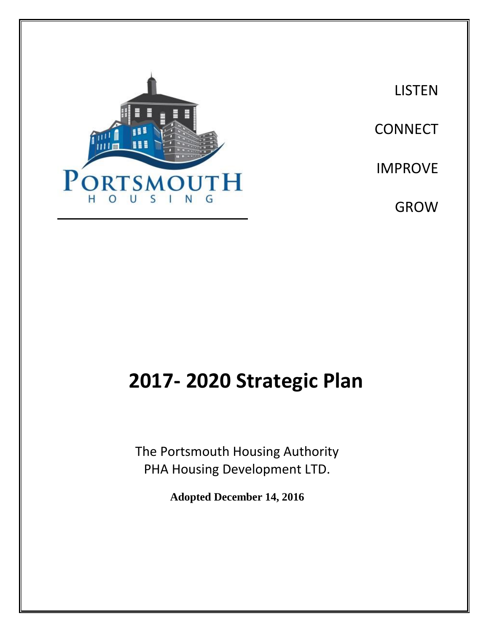

**LISTEN CONNECT** IMPROVE GROW

# **2017- 2020 Strategic Plan**

The Portsmouth Housing Authority PHA Housing Development LTD.

**Adopted December 14, 2016**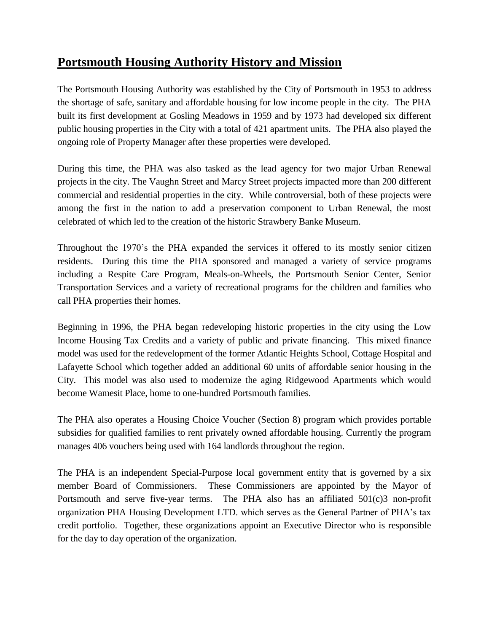#### **Portsmouth Housing Authority History and Mission**

The Portsmouth Housing Authority was established by the City of Portsmouth in 1953 to address the shortage of safe, sanitary and affordable housing for low income people in the city. The PHA built its first development at Gosling Meadows in 1959 and by 1973 had developed six different public housing properties in the City with a total of 421 apartment units. The PHA also played the ongoing role of Property Manager after these properties were developed.

During this time, the PHA was also tasked as the lead agency for two major Urban Renewal projects in the city. The Vaughn Street and Marcy Street projects impacted more than 200 different commercial and residential properties in the city. While controversial, both of these projects were among the first in the nation to add a preservation component to Urban Renewal, the most celebrated of which led to the creation of the historic Strawbery Banke Museum.

Throughout the 1970's the PHA expanded the services it offered to its mostly senior citizen residents. During this time the PHA sponsored and managed a variety of service programs including a Respite Care Program, Meals-on-Wheels, the Portsmouth Senior Center, Senior Transportation Services and a variety of recreational programs for the children and families who call PHA properties their homes.

Beginning in 1996, the PHA began redeveloping historic properties in the city using the Low Income Housing Tax Credits and a variety of public and private financing. This mixed finance model was used for the redevelopment of the former Atlantic Heights School, Cottage Hospital and Lafayette School which together added an additional 60 units of affordable senior housing in the City. This model was also used to modernize the aging Ridgewood Apartments which would become Wamesit Place, home to one-hundred Portsmouth families.

The PHA also operates a Housing Choice Voucher (Section 8) program which provides portable subsidies for qualified families to rent privately owned affordable housing. Currently the program manages 406 vouchers being used with 164 landlords throughout the region.

The PHA is an independent Special-Purpose local government entity that is governed by a six member Board of Commissioners. These Commissioners are appointed by the Mayor of Portsmouth and serve five-year terms. The PHA also has an affiliated 501(c)3 non-profit organization PHA Housing Development LTD. which serves as the General Partner of PHA's tax credit portfolio. Together, these organizations appoint an Executive Director who is responsible for the day to day operation of the organization.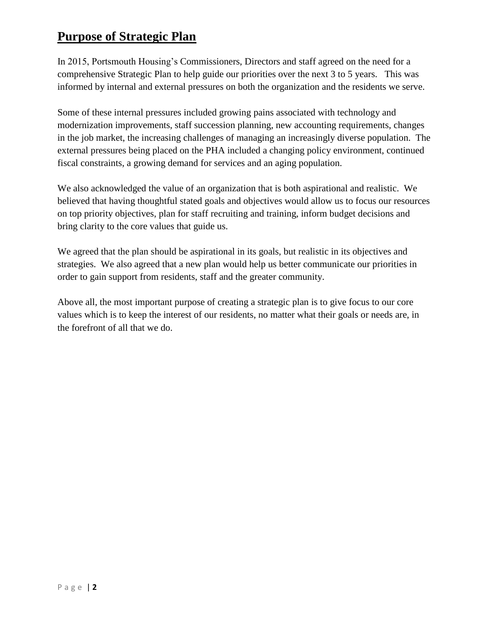#### **Purpose of Strategic Plan**

In 2015, Portsmouth Housing's Commissioners, Directors and staff agreed on the need for a comprehensive Strategic Plan to help guide our priorities over the next 3 to 5 years. This was informed by internal and external pressures on both the organization and the residents we serve.

Some of these internal pressures included growing pains associated with technology and modernization improvements, staff succession planning, new accounting requirements, changes in the job market, the increasing challenges of managing an increasingly diverse population. The external pressures being placed on the PHA included a changing policy environment, continued fiscal constraints, a growing demand for services and an aging population.

We also acknowledged the value of an organization that is both aspirational and realistic. We believed that having thoughtful stated goals and objectives would allow us to focus our resources on top priority objectives, plan for staff recruiting and training, inform budget decisions and bring clarity to the core values that guide us.

We agreed that the plan should be aspirational in its goals, but realistic in its objectives and strategies. We also agreed that a new plan would help us better communicate our priorities in order to gain support from residents, staff and the greater community.

Above all, the most important purpose of creating a strategic plan is to give focus to our core values which is to keep the interest of our residents, no matter what their goals or needs are, in the forefront of all that we do.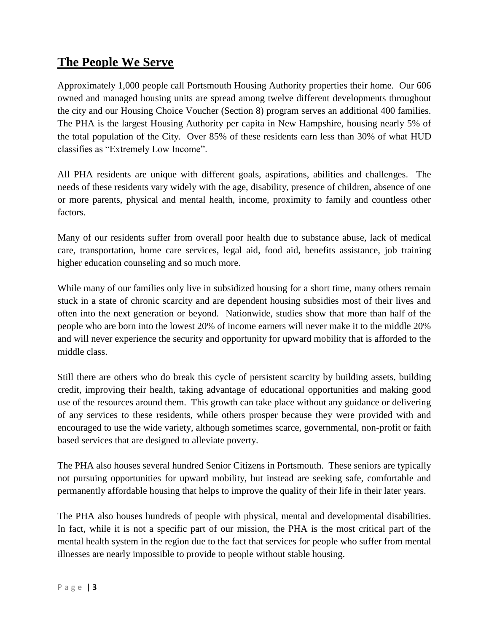#### **The People We Serve**

Approximately 1,000 people call Portsmouth Housing Authority properties their home. Our 606 owned and managed housing units are spread among twelve different developments throughout the city and our Housing Choice Voucher (Section 8) program serves an additional 400 families. The PHA is the largest Housing Authority per capita in New Hampshire, housing nearly 5% of the total population of the City. Over 85% of these residents earn less than 30% of what HUD classifies as "Extremely Low Income".

All PHA residents are unique with different goals, aspirations, abilities and challenges. The needs of these residents vary widely with the age, disability, presence of children, absence of one or more parents, physical and mental health, income, proximity to family and countless other factors.

Many of our residents suffer from overall poor health due to substance abuse, lack of medical care, transportation, home care services, legal aid, food aid, benefits assistance, job training higher education counseling and so much more.

While many of our families only live in subsidized housing for a short time, many others remain stuck in a state of chronic scarcity and are dependent housing subsidies most of their lives and often into the next generation or beyond. Nationwide, studies show that more than half of the people who are born into the lowest 20% of income earners will never make it to the middle 20% and will never experience the security and opportunity for upward mobility that is afforded to the middle class.

Still there are others who do break this cycle of persistent scarcity by building assets, building credit, improving their health, taking advantage of educational opportunities and making good use of the resources around them. This growth can take place without any guidance or delivering of any services to these residents, while others prosper because they were provided with and encouraged to use the wide variety, although sometimes scarce, governmental, non-profit or faith based services that are designed to alleviate poverty.

The PHA also houses several hundred Senior Citizens in Portsmouth. These seniors are typically not pursuing opportunities for upward mobility, but instead are seeking safe, comfortable and permanently affordable housing that helps to improve the quality of their life in their later years.

The PHA also houses hundreds of people with physical, mental and developmental disabilities. In fact, while it is not a specific part of our mission, the PHA is the most critical part of the mental health system in the region due to the fact that services for people who suffer from mental illnesses are nearly impossible to provide to people without stable housing.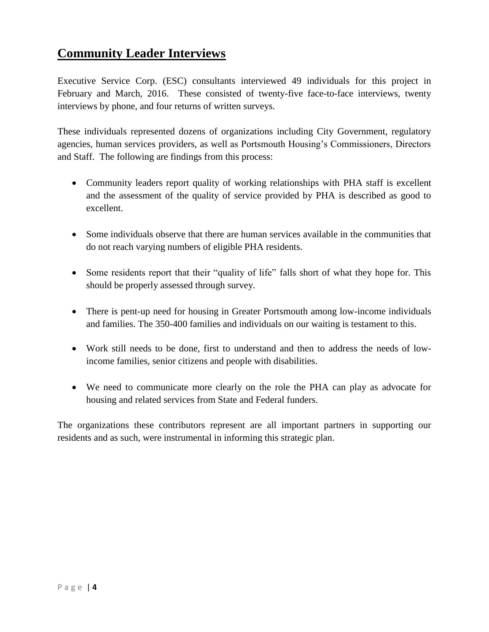#### **Community Leader Interviews**

Executive Service Corp. (ESC) consultants interviewed 49 individuals for this project in February and March, 2016. These consisted of twenty-five face-to-face interviews, twenty interviews by phone, and four returns of written surveys.

These individuals represented dozens of organizations including City Government, regulatory agencies, human services providers, as well as Portsmouth Housing's Commissioners, Directors and Staff. The following are findings from this process:

- Community leaders report quality of working relationships with PHA staff is excellent and the assessment of the quality of service provided by PHA is described as good to excellent.
- Some individuals observe that there are human services available in the communities that do not reach varying numbers of eligible PHA residents.
- Some residents report that their "quality of life" falls short of what they hope for. This should be properly assessed through survey.
- There is pent-up need for housing in Greater Portsmouth among low-income individuals and families. The 350-400 families and individuals on our waiting is testament to this.
- Work still needs to be done, first to understand and then to address the needs of lowincome families, senior citizens and people with disabilities.
- We need to communicate more clearly on the role the PHA can play as advocate for housing and related services from State and Federal funders.

The organizations these contributors represent are all important partners in supporting our residents and as such, were instrumental in informing this strategic plan.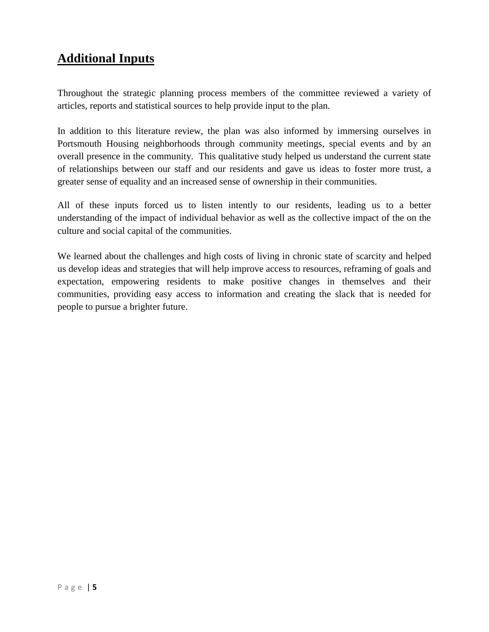#### **Additional Inputs**

Throughout the strategic planning process members of the committee reviewed a variety of articles, reports and statistical sources to help provide input to the plan.

In addition to this literature review, the plan was also informed by immersing ourselves in Portsmouth Housing neighborhoods through community meetings, special events and by an overall presence in the community. This qualitative study helped us understand the current state of relationships between our staff and our residents and gave us ideas to foster more trust, a greater sense of equality and an increased sense of ownership in their communities.

All of these inputs forced us to listen intently to our residents, leading us to a better understanding of the impact of individual behavior as well as the collective impact of the on the culture and social capital of the communities.

We learned about the challenges and high costs of living in chronic state of scarcity and helped us develop ideas and strategies that will help improve access to resources, reframing of goals and expectation, empowering residents to make positive changes in themselves and their communities, providing easy access to information and creating the slack that is needed for people to pursue a brighter future.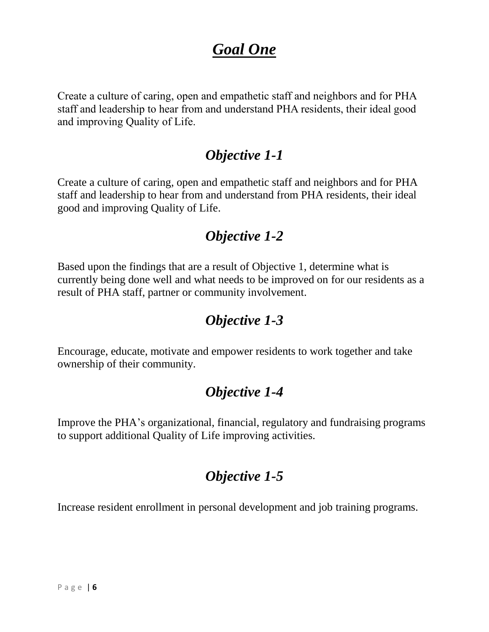# *Goal One*

Create a culture of caring, open and empathetic staff and neighbors and for PHA staff and leadership to hear from and understand PHA residents, their ideal good and improving Quality of Life.

#### *Objective 1-1*

Create a culture of caring, open and empathetic staff and neighbors and for PHA staff and leadership to hear from and understand from PHA residents, their ideal good and improving Quality of Life.

#### *Objective 1-2*

Based upon the findings that are a result of Objective 1, determine what is currently being done well and what needs to be improved on for our residents as a result of PHA staff, partner or community involvement.

### *Objective 1-3*

Encourage, educate, motivate and empower residents to work together and take ownership of their community.

### *Objective 1-4*

Improve the PHA's organizational, financial, regulatory and fundraising programs to support additional Quality of Life improving activities.

### *Objective 1-5*

Increase resident enrollment in personal development and job training programs.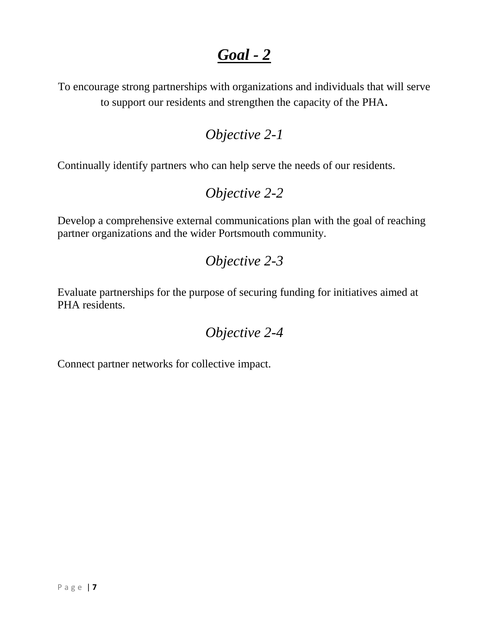# *Goal - 2*

To encourage strong partnerships with organizations and individuals that will serve to support our residents and strengthen the capacity of the PHA.

#### *Objective 2-1*

Continually identify partners who can help serve the needs of our residents.

#### *Objective 2-2*

Develop a comprehensive external communications plan with the goal of reaching partner organizations and the wider Portsmouth community.

#### *Objective 2-3*

Evaluate partnerships for the purpose of securing funding for initiatives aimed at PHA residents.

#### *Objective 2-4*

Connect partner networks for collective impact.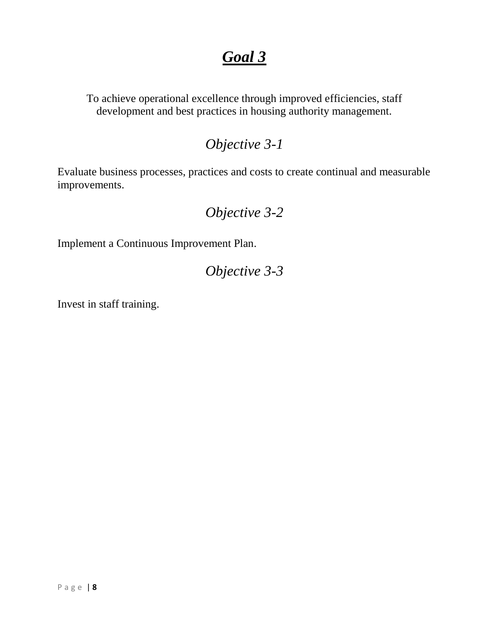# *Goal 3*

To achieve operational excellence through improved efficiencies, staff development and best practices in housing authority management.

#### *Objective 3-1*

Evaluate business processes, practices and costs to create continual and measurable improvements.

## *Objective 3-2*

Implement a Continuous Improvement Plan.

*Objective 3-3*

Invest in staff training.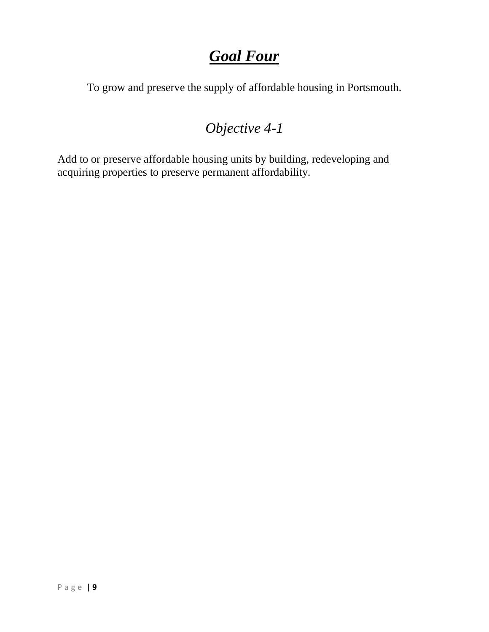# *Goal Four*

To grow and preserve the supply of affordable housing in Portsmouth.

# *Objective 4-1*

Add to or preserve affordable housing units by building, redeveloping and acquiring properties to preserve permanent affordability.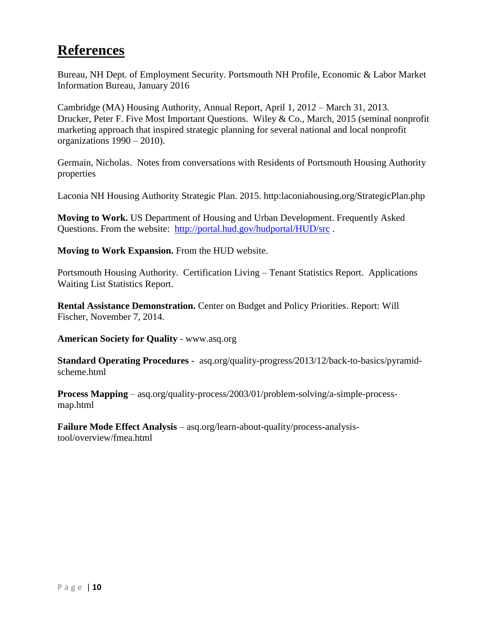### **References**

Bureau, NH Dept. of Employment Security. Portsmouth NH Profile, Economic & Labor Market Information Bureau, January 2016

Cambridge (MA) Housing Authority, Annual Report, April 1, 2012 – March 31, 2013. Drucker, Peter F. Five Most Important Questions. Wiley & Co., March, 2015 (seminal nonprofit marketing approach that inspired strategic planning for several national and local nonprofit organizations 1990 – 2010).

Germain, Nicholas. Notes from conversations with Residents of Portsmouth Housing Authority properties

Laconia NH Housing Authority Strategic Plan. 2015. http:laconiahousing.org/StrategicPlan.php

**Moving to Work.** US Department of Housing and Urban Development. Frequently Asked Questions. From the website: <http://portal.hud.gov/hudportal/HUD/src> .

**Moving to Work Expansion.** From the HUD website.

Portsmouth Housing Authority. Certification Living – Tenant Statistics Report. Applications Waiting List Statistics Report.

**Rental Assistance Demonstration.** Center on Budget and Policy Priorities. Report: Will Fischer, November 7, 2014.

**American Society for Quality** - www.asq.org

**Standard Operating Procedures** - asq.org/quality-progress/2013/12/back-to-basics/pyramidscheme.html

**Process Mapping** – asq.org/quality-process/2003/01/problem-solving/a-simple-processmap.html

**Failure Mode Effect Analysis** – asq.org/learn-about-quality/process-analysistool/overview/fmea.html